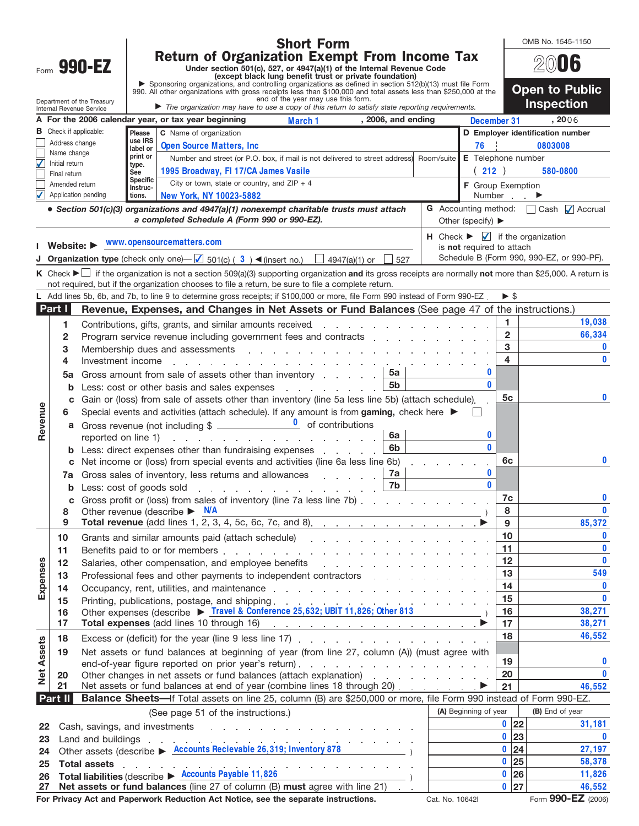|                                                                                                                                                                                   |                                                                                                                                                                                 |                                                                                                                                                                                                                                                                                                                                                                                                                                             |                                                                                                                                                                                                                                                                                                                                                  | <b>Short Form</b>                                                                                                                                                                                                                    |                                                                                                                    |  |                 |                   |                                   | OMB No. 1545-1150                         |  |  |  |
|-----------------------------------------------------------------------------------------------------------------------------------------------------------------------------------|---------------------------------------------------------------------------------------------------------------------------------------------------------------------------------|---------------------------------------------------------------------------------------------------------------------------------------------------------------------------------------------------------------------------------------------------------------------------------------------------------------------------------------------------------------------------------------------------------------------------------------------|--------------------------------------------------------------------------------------------------------------------------------------------------------------------------------------------------------------------------------------------------------------------------------------------------------------------------------------------------|--------------------------------------------------------------------------------------------------------------------------------------------------------------------------------------------------------------------------------------|--------------------------------------------------------------------------------------------------------------------|--|-----------------|-------------------|-----------------------------------|-------------------------------------------|--|--|--|
| Form 990-EZ                                                                                                                                                                       |                                                                                                                                                                                 |                                                                                                                                                                                                                                                                                                                                                                                                                                             | <b>Return of Organization Exempt From Income Tax</b><br>Under section 501(c), 527, or 4947(a)(1) of the Internal Revenue Code<br>(except black lung benefit trust or private foundation)                                                                                                                                                         |                                                                                                                                                                                                                                      |                                                                                                                    |  |                 |                   |                                   | 2006                                      |  |  |  |
|                                                                                                                                                                                   |                                                                                                                                                                                 |                                                                                                                                                                                                                                                                                                                                                                                                                                             |                                                                                                                                                                                                                                                                                                                                                  |                                                                                                                                                                                                                                      |                                                                                                                    |  |                 |                   |                                   |                                           |  |  |  |
|                                                                                                                                                                                   |                                                                                                                                                                                 |                                                                                                                                                                                                                                                                                                                                                                                                                                             | Sponsoring organizations, and controlling organizations as defined in section 512(b)(13) must file Form<br>990. All other organizations with gross receipts less than \$100,000 and total assets less than \$250,000 at the<br>end of the year may use this form.                                                                                |                                                                                                                                                                                                                                      |                                                                                                                    |  |                 |                   |                                   | <b>Open to Public</b>                     |  |  |  |
| Department of the Treasury<br>Internal Revenue Service                                                                                                                            |                                                                                                                                                                                 |                                                                                                                                                                                                                                                                                                                                                                                                                                             |                                                                                                                                                                                                                                                                                                                                                  | The organization may have to use a copy of this return to satisfy state reporting requirements.                                                                                                                                      |                                                                                                                    |  |                 |                   |                                   | <b>Inspection</b>                         |  |  |  |
|                                                                                                                                                                                   |                                                                                                                                                                                 | , 2006, and ending<br>A For the 2006 calendar year, or tax year beginning<br>March 1                                                                                                                                                                                                                                                                                                                                                        |                                                                                                                                                                                                                                                                                                                                                  |                                                                                                                                                                                                                                      |                                                                                                                    |  |                 | December 31       |                                   | , 2006                                    |  |  |  |
| В                                                                                                                                                                                 |                                                                                                                                                                                 | Check if applicable:<br>Please<br>C Name of organization<br>use IRS                                                                                                                                                                                                                                                                                                                                                                         |                                                                                                                                                                                                                                                                                                                                                  |                                                                                                                                                                                                                                      |                                                                                                                    |  |                 |                   |                                   | D Employer identification number          |  |  |  |
|                                                                                                                                                                                   |                                                                                                                                                                                 | Address change<br><b>Open Source Matters, Inc.</b><br>76<br>label or<br>Name change<br>print or<br>Number and street (or P.O. box, if mail is not delivered to street address) Room/suite                                                                                                                                                                                                                                                   |                                                                                                                                                                                                                                                                                                                                                  |                                                                                                                                                                                                                                      |                                                                                                                    |  |                 |                   | 0803008<br>E Telephone number     |                                           |  |  |  |
| $\blacktriangledown$                                                                                                                                                              | Initial return<br>Final return                                                                                                                                                  |                                                                                                                                                                                                                                                                                                                                                                                                                                             | type.<br>See                                                                                                                                                                                                                                                                                                                                     | 1995 Broadway, FI 17/CA James Vasile                                                                                                                                                                                                 |                                                                                                                    |  |                 | (212)             | 580-0800                          |                                           |  |  |  |
|                                                                                                                                                                                   | Amended return                                                                                                                                                                  |                                                                                                                                                                                                                                                                                                                                                                                                                                             | <b>Specific</b><br>Instruc-                                                                                                                                                                                                                                                                                                                      | City or town, state or country, and $ZIP + 4$                                                                                                                                                                                        |                                                                                                                    |  |                 | F Group Exemption |                                   |                                           |  |  |  |
| V                                                                                                                                                                                 |                                                                                                                                                                                 | Application pending                                                                                                                                                                                                                                                                                                                                                                                                                         | tions.                                                                                                                                                                                                                                                                                                                                           | New York, NY 10023-5882                                                                                                                                                                                                              |                                                                                                                    |  |                 |                   | Number                            |                                           |  |  |  |
| • Section 501(c)(3) organizations and 4947(a)(1) nonexempt charitable trusts must attach<br>a completed Schedule A (Form 990 or 990-EZ).<br>Other (specify) $\blacktriangleright$ |                                                                                                                                                                                 |                                                                                                                                                                                                                                                                                                                                                                                                                                             |                                                                                                                                                                                                                                                                                                                                                  |                                                                                                                                                                                                                                      |                                                                                                                    |  |                 |                   | G Accounting method: Cash Accrual |                                           |  |  |  |
|                                                                                                                                                                                   |                                                                                                                                                                                 |                                                                                                                                                                                                                                                                                                                                                                                                                                             |                                                                                                                                                                                                                                                                                                                                                  | Website: $\blacktriangleright$ WWW.opensourcematters.com                                                                                                                                                                             | <b>H</b> Check $\blacktriangleright$ $\blacktriangleright$ if the organization<br>is <b>not</b> required to attach |  |                 |                   |                                   |                                           |  |  |  |
|                                                                                                                                                                                   |                                                                                                                                                                                 |                                                                                                                                                                                                                                                                                                                                                                                                                                             |                                                                                                                                                                                                                                                                                                                                                  | <b>Organization type</b> (check only one) $\Box$ 501(c) (3) (finsert no.) $\Box$ 4947(a)(1) or                                                                                                                                       | 527                                                                                                                |  |                 |                   |                                   | Schedule B (Form 990, 990-EZ, or 990-PF). |  |  |  |
|                                                                                                                                                                                   |                                                                                                                                                                                 |                                                                                                                                                                                                                                                                                                                                                                                                                                             |                                                                                                                                                                                                                                                                                                                                                  | <b>K</b> Check ► if the organization is not a section 509(a)(3) supporting organization and its gross receipts are normally not more than \$25,000. A return is                                                                      |                                                                                                                    |  |                 |                   |                                   |                                           |  |  |  |
|                                                                                                                                                                                   |                                                                                                                                                                                 |                                                                                                                                                                                                                                                                                                                                                                                                                                             |                                                                                                                                                                                                                                                                                                                                                  | not required, but if the organization chooses to file a return, be sure to file a complete return.<br>L Add lines 5b, 6b, and 7b, to line 9 to determine gross receipts; if \$100,000 or more, file Form 990 instead of Form 990-EZ. |                                                                                                                    |  |                 |                   | $\blacktriangleright$ \$          |                                           |  |  |  |
|                                                                                                                                                                                   | Part I                                                                                                                                                                          |                                                                                                                                                                                                                                                                                                                                                                                                                                             |                                                                                                                                                                                                                                                                                                                                                  | Revenue, Expenses, and Changes in Net Assets or Fund Balances (See page 47 of the instructions.)                                                                                                                                     |                                                                                                                    |  |                 |                   |                                   |                                           |  |  |  |
|                                                                                                                                                                                   | 1                                                                                                                                                                               |                                                                                                                                                                                                                                                                                                                                                                                                                                             |                                                                                                                                                                                                                                                                                                                                                  | Contributions, gifts, grants, and similar amounts received entitled and contributions, gifts, grants, and similar amounts received                                                                                                   |                                                                                                                    |  |                 |                   | 1                                 | 19,038                                    |  |  |  |
|                                                                                                                                                                                   | 2                                                                                                                                                                               |                                                                                                                                                                                                                                                                                                                                                                                                                                             |                                                                                                                                                                                                                                                                                                                                                  | Program service revenue including government fees and contracts enters and contract contact of the state of the                                                                                                                      |                                                                                                                    |  |                 |                   | $\overline{2}$                    | 66,334                                    |  |  |  |
|                                                                                                                                                                                   | 3                                                                                                                                                                               |                                                                                                                                                                                                                                                                                                                                                                                                                                             |                                                                                                                                                                                                                                                                                                                                                  | Membership dues and assessments and according to the contract of the contract of the method of the contract of the contract of the contract of the contract of the contract of the contract of the contract of the contract of       |                                                                                                                    |  |                 |                   | 3                                 | 0                                         |  |  |  |
|                                                                                                                                                                                   | 4                                                                                                                                                                               |                                                                                                                                                                                                                                                                                                                                                                                                                                             |                                                                                                                                                                                                                                                                                                                                                  | Investment income research and the set of the set of the set of the set of the set of the set of the set of the                                                                                                                      |                                                                                                                    |  |                 |                   | 4                                 | $\mathbf{0}$                              |  |  |  |
|                                                                                                                                                                                   | 5a                                                                                                                                                                              |                                                                                                                                                                                                                                                                                                                                                                                                                                             | 0<br>5a<br>Gross amount from sale of assets other than inventory entitled as a set of an example of an example and support of the strength of the strength of the S<br>$\mathbf{0}$<br>5 <sub>b</sub>                                                                                                                                            |                                                                                                                                                                                                                                      |                                                                                                                    |  |                 |                   |                                   |                                           |  |  |  |
|                                                                                                                                                                                   | b<br>с                                                                                                                                                                          |                                                                                                                                                                                                                                                                                                                                                                                                                                             | Less: cost or other basis and sales expenses expensional cost of the sales expenses<br>Gain or (loss) from sale of assets other than inventory (line 5a less line 5b) (attach schedule).                                                                                                                                                         |                                                                                                                                                                                                                                      |                                                                                                                    |  |                 |                   |                                   | 0                                         |  |  |  |
|                                                                                                                                                                                   | 6                                                                                                                                                                               |                                                                                                                                                                                                                                                                                                                                                                                                                                             | Special events and activities (attach schedule). If any amount is from gaming, check here ▶                                                                                                                                                                                                                                                      |                                                                                                                                                                                                                                      |                                                                                                                    |  |                 |                   |                                   |                                           |  |  |  |
| Revenue                                                                                                                                                                           | a                                                                                                                                                                               |                                                                                                                                                                                                                                                                                                                                                                                                                                             | Gross revenue (not including $\frac{1}{2}$ $\frac{1}{2}$ of contributions                                                                                                                                                                                                                                                                        |                                                                                                                                                                                                                                      |                                                                                                                    |  |                 |                   |                                   |                                           |  |  |  |
|                                                                                                                                                                                   |                                                                                                                                                                                 |                                                                                                                                                                                                                                                                                                                                                                                                                                             | 0<br>6a<br>reported on line 1)<br>the contract of the contract of the contract of the contract of                                                                                                                                                                                                                                                |                                                                                                                                                                                                                                      |                                                                                                                    |  |                 |                   |                                   |                                           |  |  |  |
|                                                                                                                                                                                   |                                                                                                                                                                                 |                                                                                                                                                                                                                                                                                                                                                                                                                                             | $\mathbf{0}$<br>6b<br>Less: direct expenses other than fundraising expenses                                                                                                                                                                                                                                                                      |                                                                                                                                                                                                                                      |                                                                                                                    |  |                 |                   | 6с                                | 0                                         |  |  |  |
|                                                                                                                                                                                   | c<br>7a                                                                                                                                                                         |                                                                                                                                                                                                                                                                                                                                                                                                                                             |                                                                                                                                                                                                                                                                                                                                                  | Net income or (loss) from special events and activities (line 6a less line 6b)<br>7a<br>Gross sales of inventory, less returns and allowances                                                                                        |                                                                                                                    |  |                 |                   |                                   |                                           |  |  |  |
|                                                                                                                                                                                   |                                                                                                                                                                                 |                                                                                                                                                                                                                                                                                                                                                                                                                                             |                                                                                                                                                                                                                                                                                                                                                  | <b>b</b> Less: cost of goods sold                                                                                                                                                                                                    | 7b                                                                                                                 |  |                 | $\mathbf{0}$      |                                   |                                           |  |  |  |
|                                                                                                                                                                                   | с                                                                                                                                                                               |                                                                                                                                                                                                                                                                                                                                                                                                                                             | Gross profit or (loss) from sales of inventory (line 7a less line 7b)                                                                                                                                                                                                                                                                            |                                                                                                                                                                                                                                      |                                                                                                                    |  |                 |                   | 7c<br>8                           | 0                                         |  |  |  |
|                                                                                                                                                                                   | 8                                                                                                                                                                               |                                                                                                                                                                                                                                                                                                                                                                                                                                             |                                                                                                                                                                                                                                                                                                                                                  | Other revenue (describe $\triangleright$ N/A                                                                                                                                                                                         |                                                                                                                    |  |                 |                   |                                   | $\bf{0}$                                  |  |  |  |
|                                                                                                                                                                                   | 9                                                                                                                                                                               |                                                                                                                                                                                                                                                                                                                                                                                                                                             |                                                                                                                                                                                                                                                                                                                                                  | Total revenue (add lines 1, $\overline{2, 3, 4, 5c, 6c, 7c, and 8}$ ).                                                                                                                                                               |                                                                                                                    |  |                 |                   | 9<br>10                           | 85,372<br>$\mathbf 0$                     |  |  |  |
|                                                                                                                                                                                   | 10<br>11                                                                                                                                                                        |                                                                                                                                                                                                                                                                                                                                                                                                                                             |                                                                                                                                                                                                                                                                                                                                                  |                                                                                                                                                                                                                                      |                                                                                                                    |  |                 |                   | 11                                | $\mathbf 0$                               |  |  |  |
|                                                                                                                                                                                   | 12                                                                                                                                                                              |                                                                                                                                                                                                                                                                                                                                                                                                                                             | Benefits paid to or for members entering the service of the service of the service of the service of the service of the service of the service of the service of the service of the service of the service of the service of t<br>Salaries, other compensation, and employee benefits entitled and an analysis of the control of the same of the |                                                                                                                                                                                                                                      |                                                                                                                    |  |                 |                   | 12                                | $\mathbf 0$                               |  |  |  |
|                                                                                                                                                                                   | 13                                                                                                                                                                              |                                                                                                                                                                                                                                                                                                                                                                                                                                             |                                                                                                                                                                                                                                                                                                                                                  | Professional fees and other payments to independent contractors entitled by the contractors                                                                                                                                          |                                                                                                                    |  |                 |                   | 13                                | 549                                       |  |  |  |
| Expenses                                                                                                                                                                          | 14                                                                                                                                                                              |                                                                                                                                                                                                                                                                                                                                                                                                                                             |                                                                                                                                                                                                                                                                                                                                                  |                                                                                                                                                                                                                                      |                                                                                                                    |  |                 |                   | 14                                | $\mathbf 0$                               |  |  |  |
|                                                                                                                                                                                   | 15<br>16                                                                                                                                                                        | Printing, publications, postage, and shipping<br>Other expenses (describe ▶ Travel & Conference 25,632; UBIT 11,826; Other 813                                                                                                                                                                                                                                                                                                              |                                                                                                                                                                                                                                                                                                                                                  |                                                                                                                                                                                                                                      |                                                                                                                    |  |                 |                   | 15<br>16                          | $\mathbf{0}$<br>38,271                    |  |  |  |
|                                                                                                                                                                                   | 17                                                                                                                                                                              |                                                                                                                                                                                                                                                                                                                                                                                                                                             |                                                                                                                                                                                                                                                                                                                                                  |                                                                                                                                                                                                                                      |                                                                                                                    |  |                 |                   | 17                                | 38,271                                    |  |  |  |
|                                                                                                                                                                                   | 18                                                                                                                                                                              | Excess or (deficit) for the year (line 9 less line 17)                                                                                                                                                                                                                                                                                                                                                                                      |                                                                                                                                                                                                                                                                                                                                                  |                                                                                                                                                                                                                                      |                                                                                                                    |  |                 |                   | 18                                | 46,552                                    |  |  |  |
| <b>Net Assets</b>                                                                                                                                                                 | 19                                                                                                                                                                              | Net assets or fund balances at beginning of year (from line 27, column (A)) (must agree with<br>Other changes in net assets or fund balances (attach explanation) exclude the changes in net assets or fund balances (attach explanation)<br>Net assets or fund balances at end of year (combine lines 18 through 20)<br>Balance Sheets-If Total assets on line 25, column (B) are \$250,000 or more, file Form 990 instead of Form 990-EZ. |                                                                                                                                                                                                                                                                                                                                                  |                                                                                                                                                                                                                                      |                                                                                                                    |  |                 |                   |                                   |                                           |  |  |  |
|                                                                                                                                                                                   |                                                                                                                                                                                 |                                                                                                                                                                                                                                                                                                                                                                                                                                             |                                                                                                                                                                                                                                                                                                                                                  |                                                                                                                                                                                                                                      |                                                                                                                    |  |                 |                   | 19                                | 0                                         |  |  |  |
|                                                                                                                                                                                   | 20<br>21                                                                                                                                                                        |                                                                                                                                                                                                                                                                                                                                                                                                                                             |                                                                                                                                                                                                                                                                                                                                                  |                                                                                                                                                                                                                                      |                                                                                                                    |  |                 |                   | 20<br>21                          | $\mathbf{0}$<br>46,552                    |  |  |  |
|                                                                                                                                                                                   | Part II                                                                                                                                                                         |                                                                                                                                                                                                                                                                                                                                                                                                                                             |                                                                                                                                                                                                                                                                                                                                                  |                                                                                                                                                                                                                                      |                                                                                                                    |  |                 |                   |                                   |                                           |  |  |  |
|                                                                                                                                                                                   | (A) Beginning of year<br>(See page 51 of the instructions.)                                                                                                                     |                                                                                                                                                                                                                                                                                                                                                                                                                                             |                                                                                                                                                                                                                                                                                                                                                  |                                                                                                                                                                                                                                      |                                                                                                                    |  |                 |                   | (B) End of year                   |                                           |  |  |  |
| 22                                                                                                                                                                                |                                                                                                                                                                                 | the contract of the contract of the contract of the contract of<br>Cash, savings, and investments<br>Land and buildings<br>Other assets (describe $\triangleright$ Accounts Recievable 26,319; Inventory 878                                                                                                                                                                                                                                |                                                                                                                                                                                                                                                                                                                                                  |                                                                                                                                                                                                                                      |                                                                                                                    |  |                 | 0 22              | 31,181                            |                                           |  |  |  |
| 23                                                                                                                                                                                |                                                                                                                                                                                 |                                                                                                                                                                                                                                                                                                                                                                                                                                             |                                                                                                                                                                                                                                                                                                                                                  |                                                                                                                                                                                                                                      |                                                                                                                    |  |                 | 0 23              | $\mathbf 0$                       |                                           |  |  |  |
| 24                                                                                                                                                                                |                                                                                                                                                                                 |                                                                                                                                                                                                                                                                                                                                                                                                                                             |                                                                                                                                                                                                                                                                                                                                                  |                                                                                                                                                                                                                                      |                                                                                                                    |  |                 |                   | 0 24<br>0 25                      | 27,197<br>58,378                          |  |  |  |
| 25<br>26                                                                                                                                                                          | <b>Total assets</b><br>the contract of the contract of the contract of the contract of the contract of the contract of<br>Total liabilities (describe > Accounts Payable 11,826 |                                                                                                                                                                                                                                                                                                                                                                                                                                             |                                                                                                                                                                                                                                                                                                                                                  |                                                                                                                                                                                                                                      |                                                                                                                    |  |                 | 0 26              | 11,826                            |                                           |  |  |  |
| 27                                                                                                                                                                                |                                                                                                                                                                                 |                                                                                                                                                                                                                                                                                                                                                                                                                                             |                                                                                                                                                                                                                                                                                                                                                  | Net assets or fund balances (line 27 of column (B) must agree with line 21)                                                                                                                                                          |                                                                                                                    |  |                 |                   | 0 27                              | 46,552                                    |  |  |  |
|                                                                                                                                                                                   |                                                                                                                                                                                 |                                                                                                                                                                                                                                                                                                                                                                                                                                             |                                                                                                                                                                                                                                                                                                                                                  | For Privacy Act and Paperwork Reduction Act Notice, see the separate instructions.                                                                                                                                                   |                                                                                                                    |  | Cat. No. 10642l |                   |                                   | Form 990-EZ (2006)                        |  |  |  |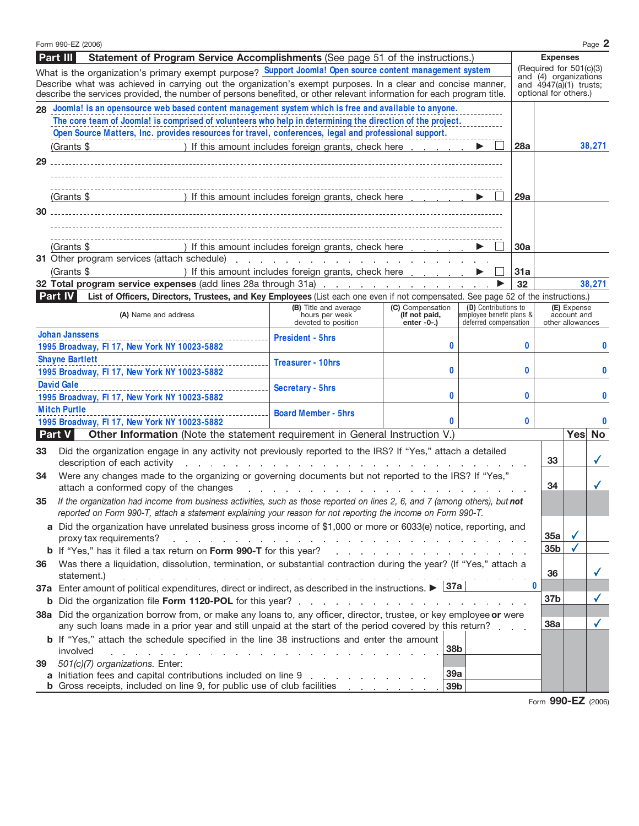|                                                                                                                                                                                                                                         | Form 990-EZ (2006)                                                                                                                                                                                                                            |                                                                                                       |                                 |                                                   |  |          |                                                   |                                                  | Page 2    |  |  |  |
|-----------------------------------------------------------------------------------------------------------------------------------------------------------------------------------------------------------------------------------------|-----------------------------------------------------------------------------------------------------------------------------------------------------------------------------------------------------------------------------------------------|-------------------------------------------------------------------------------------------------------|---------------------------------|---------------------------------------------------|--|----------|---------------------------------------------------|--------------------------------------------------|-----------|--|--|--|
| <b>Part III</b><br>Statement of Program Service Accomplishments (See page 51 of the instructions.)<br><b>Expenses</b>                                                                                                                   |                                                                                                                                                                                                                                               |                                                                                                       |                                 |                                                   |  |          |                                                   |                                                  |           |  |  |  |
| What is the organization's primary exempt purpose? Support Joomla! Open source content management system                                                                                                                                |                                                                                                                                                                                                                                               |                                                                                                       |                                 |                                                   |  |          |                                                   | (Required for 501(c)(3)<br>and (4) organizations |           |  |  |  |
| Describe what was achieved in carrying out the organization's exempt purposes. In a clear and concise manner,<br>describe the services provided, the number of persons benefited, or other relevant information for each program title. |                                                                                                                                                                                                                                               |                                                                                                       |                                 |                                                   |  |          | and $4947(a)(1)$ trusts;<br>optional for others.) |                                                  |           |  |  |  |
| 28 Joomla! is an opensource web based content management system which is free and available to anyone.                                                                                                                                  |                                                                                                                                                                                                                                               |                                                                                                       |                                 |                                                   |  |          |                                                   |                                                  |           |  |  |  |
|                                                                                                                                                                                                                                         | The core team of Joomla! is comprised of volunteers who help in determining the direction of the project.                                                                                                                                     |                                                                                                       |                                 |                                                   |  |          |                                                   |                                                  |           |  |  |  |
|                                                                                                                                                                                                                                         | Open Source Matters, Inc. provides resources for travel, conferences, legal and professional support.                                                                                                                                         |                                                                                                       |                                 |                                                   |  |          |                                                   |                                                  |           |  |  |  |
|                                                                                                                                                                                                                                         | (Grants \$<br>) If this amount includes foreign grants, check here                                                                                                                                                                            |                                                                                                       |                                 |                                                   |  | 28a      |                                                   |                                                  | 38,271    |  |  |  |
| 29                                                                                                                                                                                                                                      |                                                                                                                                                                                                                                               |                                                                                                       |                                 |                                                   |  |          |                                                   |                                                  |           |  |  |  |
|                                                                                                                                                                                                                                         |                                                                                                                                                                                                                                               |                                                                                                       |                                 |                                                   |  |          |                                                   |                                                  |           |  |  |  |
|                                                                                                                                                                                                                                         |                                                                                                                                                                                                                                               |                                                                                                       |                                 |                                                   |  |          |                                                   |                                                  |           |  |  |  |
|                                                                                                                                                                                                                                         | ) If this amount includes foreign grants, check here<br>(Grants \$                                                                                                                                                                            |                                                                                                       |                                 |                                                   |  | 29a      |                                                   |                                                  |           |  |  |  |
| 30                                                                                                                                                                                                                                      |                                                                                                                                                                                                                                               |                                                                                                       |                                 |                                                   |  |          |                                                   |                                                  |           |  |  |  |
|                                                                                                                                                                                                                                         |                                                                                                                                                                                                                                               |                                                                                                       |                                 |                                                   |  |          |                                                   |                                                  |           |  |  |  |
|                                                                                                                                                                                                                                         |                                                                                                                                                                                                                                               | ) If this amount includes foreign grants, check here                                                  |                                 |                                                   |  |          |                                                   |                                                  |           |  |  |  |
|                                                                                                                                                                                                                                         | (Grants \$<br>31 Other program services (attach schedule) expansion and a service of the service of the service of the service of the service of the service of the service of the service of the service of the service of the service of t  |                                                                                                       |                                 |                                                   |  | 30a      |                                                   |                                                  |           |  |  |  |
|                                                                                                                                                                                                                                         | (Grants \$                                                                                                                                                                                                                                    | ) If this amount includes foreign grants, check here                                                  |                                 |                                                   |  | 31a      |                                                   |                                                  |           |  |  |  |
|                                                                                                                                                                                                                                         | 32 Total program service expenses (add lines 28a through 31a)                                                                                                                                                                                 |                                                                                                       |                                 |                                                   |  | 32       |                                                   |                                                  | 38,271    |  |  |  |
|                                                                                                                                                                                                                                         | List of Officers, Directors, Trustees, and Key Employees (List each one even if not compensated. See page 52 of the instructions.)<br><b>Part IV</b>                                                                                          |                                                                                                       |                                 |                                                   |  |          |                                                   |                                                  |           |  |  |  |
|                                                                                                                                                                                                                                         |                                                                                                                                                                                                                                               | (B) Title and average                                                                                 | (C) Compensation                | (D) Contributions to                              |  |          |                                                   | (E) Expense                                      |           |  |  |  |
|                                                                                                                                                                                                                                         | (A) Name and address                                                                                                                                                                                                                          | hours per week<br>devoted to position                                                                 | (If not paid,<br>enter $-0$ -.) | employee benefit plans &<br>deferred compensation |  |          | account and<br>other allowances                   |                                                  |           |  |  |  |
|                                                                                                                                                                                                                                         | <b>Johan Janssens</b>                                                                                                                                                                                                                         | <b>President - 5hrs</b>                                                                               |                                 |                                                   |  |          |                                                   |                                                  |           |  |  |  |
|                                                                                                                                                                                                                                         | 1995 Broadway, FI 17, New York NY 10023-5882                                                                                                                                                                                                  |                                                                                                       | 0                               |                                                   |  | $\bf{0}$ |                                                   |                                                  | 0         |  |  |  |
|                                                                                                                                                                                                                                         | <b>Shayne Bartlett</b>                                                                                                                                                                                                                        | <b>Treasurer - 10hrs</b>                                                                              |                                 |                                                   |  |          |                                                   |                                                  |           |  |  |  |
|                                                                                                                                                                                                                                         | 1995 Broadway, FI 17, New York NY 10023-5882                                                                                                                                                                                                  |                                                                                                       | 0                               |                                                   |  | $\bf{0}$ |                                                   |                                                  | 0         |  |  |  |
|                                                                                                                                                                                                                                         | <b>David Gale</b>                                                                                                                                                                                                                             | <b>Secretary - 5hrs</b>                                                                               |                                 |                                                   |  |          |                                                   |                                                  |           |  |  |  |
|                                                                                                                                                                                                                                         | 1995 Broadway, FI 17, New York NY 10023-5882                                                                                                                                                                                                  |                                                                                                       | 0                               |                                                   |  | 0        |                                                   |                                                  | 0         |  |  |  |
|                                                                                                                                                                                                                                         | <b>Mitch Purtle</b>                                                                                                                                                                                                                           | <b>Board Member - 5hrs</b>                                                                            | $\bf{0}$                        |                                                   |  |          |                                                   |                                                  |           |  |  |  |
|                                                                                                                                                                                                                                         | 1995 Broadway, FI 17, New York NY 10023-5882<br>Other Information (Note the statement requirement in General Instruction V.)                                                                                                                  |                                                                                                       |                                 |                                                   |  | 0        |                                                   | Yes                                              | <b>No</b> |  |  |  |
|                                                                                                                                                                                                                                         | Part V                                                                                                                                                                                                                                        |                                                                                                       |                                 |                                                   |  |          |                                                   |                                                  |           |  |  |  |
| 33                                                                                                                                                                                                                                      | Did the organization engage in any activity not previously reported to the IRS? If "Yes," attach a detailed                                                                                                                                   |                                                                                                       |                                 |                                                   |  |          | 33                                                |                                                  |           |  |  |  |
|                                                                                                                                                                                                                                         | description of each activity<br>and a straightful and a straight and a straight                                                                                                                                                               |                                                                                                       |                                 |                                                   |  |          |                                                   |                                                  |           |  |  |  |
| 34                                                                                                                                                                                                                                      |                                                                                                                                                                                                                                               | Were any changes made to the organizing or governing documents but not reported to the IRS? If "Yes," |                                 |                                                   |  |          |                                                   |                                                  |           |  |  |  |
|                                                                                                                                                                                                                                         | attach a conformed copy of the changes<br>and a series of the contract of the contract of                                                                                                                                                     |                                                                                                       |                                 |                                                   |  |          | 34                                                |                                                  |           |  |  |  |
| 35                                                                                                                                                                                                                                      | If the organization had income from business activities, such as those reported on lines 2, 6, and 7 (among others), but not<br>reported on Form 990-T, attach a statement explaining your reason for not reporting the income on Form 990-T. |                                                                                                       |                                 |                                                   |  |          |                                                   |                                                  |           |  |  |  |
|                                                                                                                                                                                                                                         | a Did the organization have unrelated business gross income of \$1,000 or more or 6033(e) notice, reporting, and                                                                                                                              |                                                                                                       |                                 |                                                   |  |          |                                                   |                                                  |           |  |  |  |
|                                                                                                                                                                                                                                         | proxy tax requirements?<br>المتابعة والمتابعة والمتابعة والمتابعة والمتابعة والمتابعة والمتابعة والمتابعة والمتابعة والمتابعة والمتابعة والمتابع                                                                                              |                                                                                                       |                                 |                                                   |  |          | 35a                                               |                                                  |           |  |  |  |
|                                                                                                                                                                                                                                         |                                                                                                                                                                                                                                               |                                                                                                       |                                 |                                                   |  |          | 35 <sub>b</sub>                                   |                                                  |           |  |  |  |
| Was there a liquidation, dissolution, termination, or substantial contraction during the year? (If "Yes," attach a<br>36                                                                                                                |                                                                                                                                                                                                                                               |                                                                                                       |                                 |                                                   |  |          |                                                   |                                                  |           |  |  |  |
| statement.)<br>de la provincia de la provincia de la provincia de la provincia de la provincia de la provincia de la provincia                                                                                                          |                                                                                                                                                                                                                                               |                                                                                                       |                                 |                                                   |  |          | 36                                                |                                                  |           |  |  |  |
|                                                                                                                                                                                                                                         | 37a<br>37a Enter amount of political expenditures, direct or indirect, as described in the instructions.                                                                                                                                      |                                                                                                       |                                 |                                                   |  |          |                                                   |                                                  |           |  |  |  |
|                                                                                                                                                                                                                                         | <b>b</b> Did the organization file <b>Form 1120-POL</b> for this year?<br>the company of the company of the                                                                                                                                   |                                                                                                       |                                 |                                                   |  |          | 37b                                               |                                                  |           |  |  |  |
|                                                                                                                                                                                                                                         | 38a Did the organization borrow from, or make any loans to, any officer, director, trustee, or key employee or were                                                                                                                           |                                                                                                       |                                 |                                                   |  |          |                                                   |                                                  |           |  |  |  |
|                                                                                                                                                                                                                                         | any such loans made in a prior year and still unpaid at the start of the period covered by this return?                                                                                                                                       |                                                                                                       |                                 |                                                   |  |          | 38a                                               |                                                  |           |  |  |  |
|                                                                                                                                                                                                                                         | <b>b</b> If "Yes," attach the schedule specified in the line 38 instructions and enter the amount                                                                                                                                             |                                                                                                       |                                 |                                                   |  |          |                                                   |                                                  |           |  |  |  |
|                                                                                                                                                                                                                                         | involved<br>and the control of the control of the control of the                                                                                                                                                                              |                                                                                                       | 38b                             |                                                   |  |          |                                                   |                                                  |           |  |  |  |
| 39                                                                                                                                                                                                                                      | 501(c)(7) organizations. Enter:<br>39a<br>a Initiation fees and capital contributions included on line 9                                                                                                                                      |                                                                                                       |                                 |                                                   |  |          |                                                   |                                                  |           |  |  |  |
|                                                                                                                                                                                                                                         | <b>b</b> Gross receipts, included on line 9, for public use of club facilities                                                                                                                                                                |                                                                                                       | 39b                             |                                                   |  |          |                                                   |                                                  |           |  |  |  |
|                                                                                                                                                                                                                                         |                                                                                                                                                                                                                                               |                                                                                                       |                                 |                                                   |  |          |                                                   |                                                  |           |  |  |  |

Form **990-EZ** (2006)